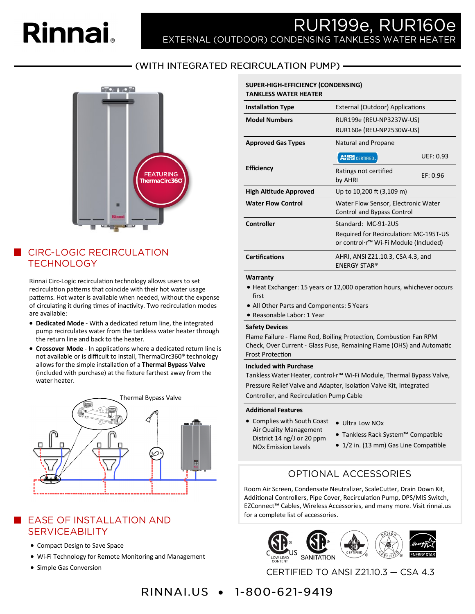# **Rinnai**

# RUR199e, RUR160e EXTERNAL (OUTDOOR) CONDENSING TANKLESS WATER HEATER

## - (WITH INTEGRATED RECIRCULATION PUMP) -



## **CIRC-LOGIC RECIRCULATION TECHNOLOGY**

Rinnai Circ-Logic recirculation technology allows users to set recirculation patterns that coincide with their hot water usage patterns. Hot water is available when needed, without the expense of circulating it during times of inactivity. Two recirculation modes are available:

- **Dedicated Mode**  With a dedicated return line, the integrated pump recirculates water from the tankless water heater through the return line and back to the heater.
- **Crossover Mode**  In applications where a dedicated return line is not available or is difficult to install, ThermaCirc360® technology allows for the simple installation of a **Thermal Bypass Valve**  (included with purchase) at the fixture farthest away from the water heater.



## EASE OF INSTALLATION AND **SERVICEABILITY**

- Compact Design to Save Space
- Wi-Fi Technology for Remote Monitoring and Management
- Simple Gas Conversion

#### **SUPER-HIGH-EFFICIENCY (CONDENSING) TANKLESS WATER HEATER**

| <b>Installation Type</b>      | <b>External (Outdoor) Applications</b>                                                                 |                  |  |
|-------------------------------|--------------------------------------------------------------------------------------------------------|------------------|--|
| <b>Model Numbers</b>          | RUR199e (REU-NP3237W-US)<br>RUR160e (REU-NP2530W-US)                                                   |                  |  |
| <b>Approved Gas Types</b>     | Natural and Propane                                                                                    |                  |  |
|                               | <b>AHRI</b> CERTIFIED.                                                                                 | <b>UEF: 0.93</b> |  |
| <b>Efficiency</b>             | Ratings not certified<br>by AHRI                                                                       | EF: 0.96         |  |
| <b>High Altitude Approved</b> | Up to 10,200 ft (3,109 m)                                                                              |                  |  |
| <b>Water Flow Control</b>     | Water Flow Sensor, Electronic Water<br>Control and Bypass Control                                      |                  |  |
| <b>Controller</b>             | Standard: MC-91-2US<br>Required for Recirculation: MC-195T-US<br>or control·r™ Wi-Fi Module (Included) |                  |  |
| <b>Certifications</b>         | AHRI, ANSI Z21.10.3, CSA 4.3, and<br><b>ENERGY STAR®</b>                                               |                  |  |
| $141 - 222 - 222$             |                                                                                                        |                  |  |

#### **Warranty**

- Heat Exchanger: 15 years or 12,000 operation hours, whichever occurs first
- All Other Parts and Components: 5 Years
- Reasonable Labor: 1 Year

#### **Safety Devices**

Flame Failure - Flame Rod, Boiling Protection, Combustion Fan RPM Check, Over Current - Glass Fuse, Remaining Flame (OHS) and Automatic Frost Protection

#### **Included with Purchase**

Tankless Water Heater, control·r™ Wi-Fi Module, Thermal Bypass Valve, Pressure Relief Valve and Adapter, Isolation Valve Kit, Integrated Controller, and Recirculation Pump Cable

#### **Additional Features**

- Complies with South Coast Ultra Low NOx Air Quality Management District 14 ng/J or 20 ppm NOx Emission Levels
	-
	- Tankless Rack System™ Compatible
	- 1/2 in. (13 mm) Gas Line Compatible

## **OPTIONAL ACCESSORIES**

Room Air Screen, Condensate Neutralizer, ScaleCutter, Drain Down Kit, Additional Controllers, Pipe Cover, Recirculation Pump, DPS/MIS Switch, EZConnect™ Cables, Wireless Accessories, and many more. Visit rinnai.us for a complete list of accessories.



CERTIFIED TO ANSI Z21.10.3 - CSA 4.3

## **RINNALUS • 1-800-621-9419**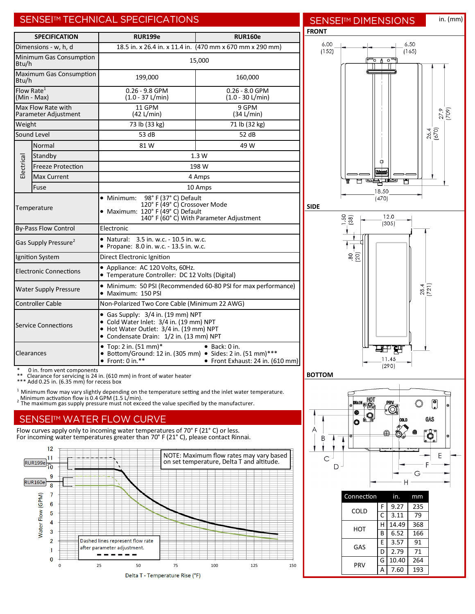## SENSEITM TECHNICAL SPECIFICATIONS

| <b>SPECIFICATION</b>                                                                                                                                              |                                                                                                                     | <b>RUR199e</b>                                                                                                                                                     | <b>RUR160e</b>                                 |  |  |
|-------------------------------------------------------------------------------------------------------------------------------------------------------------------|---------------------------------------------------------------------------------------------------------------------|--------------------------------------------------------------------------------------------------------------------------------------------------------------------|------------------------------------------------|--|--|
|                                                                                                                                                                   | Dimensions - w, h, d                                                                                                | 18.5 in. x 26.4 in. x 11.4 in. (470 mm x 670 mm x 290 mm)                                                                                                          |                                                |  |  |
| Btu/h                                                                                                                                                             | Minimum Gas Consumption                                                                                             | 15,000                                                                                                                                                             |                                                |  |  |
| Btu/h                                                                                                                                                             | <b>Maximum Gas Consumption</b>                                                                                      | 199,000<br>160,000                                                                                                                                                 |                                                |  |  |
| Flow Rate <sup>1</sup><br>(Min - Max)                                                                                                                             |                                                                                                                     | $0.26 - 9.8$ GPM<br>$(1.0 - 37 L/min)$                                                                                                                             | $0.26 - 8.0$ GPM<br>$(1.0 - 30 \text{ L/min})$ |  |  |
| Max Flow Rate with<br>Parameter Adjustment                                                                                                                        |                                                                                                                     | 11 GPM<br>$(42 \text{ L/min})$                                                                                                                                     | 9 GPM<br>(34 L/min)                            |  |  |
| Weight                                                                                                                                                            |                                                                                                                     | 73 lb (33 kg)                                                                                                                                                      | 71 lb (32 kg)                                  |  |  |
|                                                                                                                                                                   | Sound Level                                                                                                         | 53 dB                                                                                                                                                              | 52 dB                                          |  |  |
|                                                                                                                                                                   | Normal                                                                                                              | 81 W                                                                                                                                                               | 49 W                                           |  |  |
|                                                                                                                                                                   | Standby                                                                                                             | 1.3W                                                                                                                                                               |                                                |  |  |
| Electrical                                                                                                                                                        | <b>Freeze Protection</b>                                                                                            | 198 W                                                                                                                                                              |                                                |  |  |
|                                                                                                                                                                   | <b>Max Current</b>                                                                                                  | 4 Amps                                                                                                                                                             |                                                |  |  |
|                                                                                                                                                                   | Fuse                                                                                                                | 10 Amps                                                                                                                                                            |                                                |  |  |
| Temperature                                                                                                                                                       |                                                                                                                     | 98° F (37° C) Default<br>$\bullet\,$ Minimum:<br>120° F (49° C) Crossover Mode<br>• Maximum: 120° F (49° C) Default<br>140° F (60° C) With Parameter Adjustment    |                                                |  |  |
| <b>By-Pass Flow Control</b>                                                                                                                                       |                                                                                                                     | Electronic                                                                                                                                                         |                                                |  |  |
| Gas Supply Pressure <sup>2</sup>                                                                                                                                  |                                                                                                                     | 3.5 in. w.c. - 10.5 in. w.c.<br>• Natural:<br>• Propane: 8.0 in. w.c. - 13.5 in. w.c.                                                                              |                                                |  |  |
|                                                                                                                                                                   | Ignition System                                                                                                     | Direct Electronic Ignition                                                                                                                                         |                                                |  |  |
|                                                                                                                                                                   | <b>Electronic Connections</b>                                                                                       | • Appliance: AC 120 Volts, 60Hz.<br>• Temperature Controller: DC 12 Volts (Digital)                                                                                |                                                |  |  |
|                                                                                                                                                                   | • Minimum: 50 PSI (Recommended 60-80 PSI for max performance)<br><b>Water Supply Pressure</b><br>• Maximum: 150 PSI |                                                                                                                                                                    |                                                |  |  |
|                                                                                                                                                                   | <b>Controller Cable</b><br>Non-Polarized Two Core Cable (Minimum 22 AWG)                                            |                                                                                                                                                                    |                                                |  |  |
| <b>Service Connections</b>                                                                                                                                        |                                                                                                                     | • Gas Supply: 3/4 in. (19 mm) NPT<br>• Cold Water Inlet: 3/4 in. (19 mm) NPT<br>• Hot Water Outlet: 3/4 in. (19 mm) NPT<br>• Condensate Drain: 1/2 in. (13 mm) NPT |                                                |  |  |
| • Top: 2 in. $(51 \text{ mm})^*$<br>$\bullet$ Back: 0 in.<br>Clearances<br>• Bottom/Ground: 12 in. (305 mm) • Sides: 2 in. (51 mm)***<br>$\bullet$ Front: 0 in.** |                                                                                                                     |                                                                                                                                                                    | • Front Exhaust: 24 in. (610 mm)               |  |  |

**SENSEI™ DIMENSIONS FRONT**

in. (mm)





\* 0 in. from vent components \*\* Clearance for servicing is 24 in. (610 mm) in front of water heater \*\*\* Add 0.25 in. (6.35 mm) for recess box

<sup>1</sup> Minimum flow may vary slightly depending on the temperature setting and the inlet water temperature.<br><sub>2</sub> Minimum activation flow is 0.4 GPM (1.5 L/min).<br><sup>2</sup> The maximum gas supply pressure must not exceed the value spe

## **SENSEITM WATER FLOW CURVE**

Flow curves apply only to incoming water temperatures of 70° F (21° C) or less. For incoming water temperatures greater than 70° F (21° C), please contact Rinnai.





**SIDE**



|  | Connection |   | in.   | mm  |
|--|------------|---|-------|-----|
|  | COLD       | F | 9.27  | 235 |
|  |            | C | 3.11  | 79  |
|  | нот        | н | 14.49 | 368 |
|  |            | B | 6.52  | 166 |
|  | GAS        | E | 3.57  | 91  |
|  |            | D | 2.79  | 71  |
|  | PRV        | G | 10.40 | 264 |
|  |            | А | 7.60  | 193 |